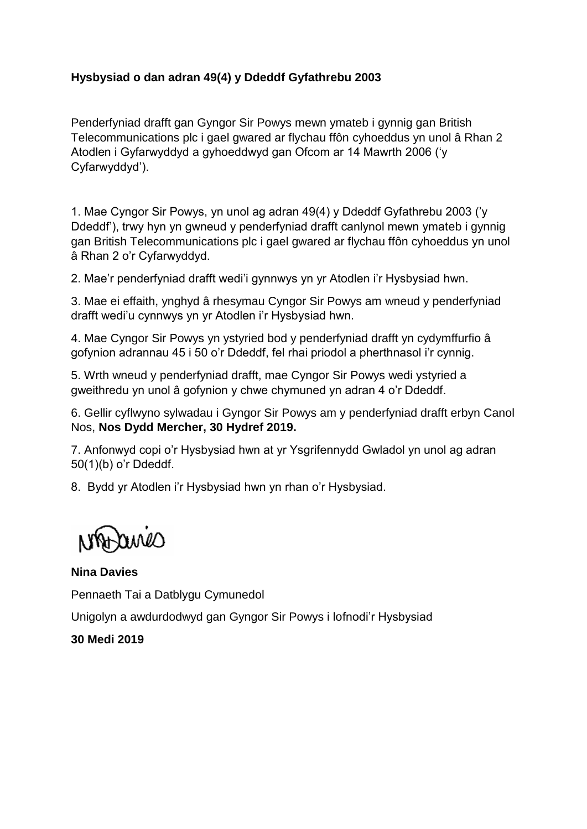## **Hysbysiad o dan adran 49(4) y Ddeddf Gyfathrebu 2003**

Penderfyniad drafft gan Gyngor Sir Powys mewn ymateb i gynnig gan British Telecommunications plc i gael gwared ar flychau ffôn cyhoeddus yn unol â Rhan 2 Atodlen i Gyfarwyddyd a gyhoeddwyd gan Ofcom ar 14 Mawrth 2006 ('y Cyfarwyddyd').

1. Mae Cyngor Sir Powys, yn unol ag adran 49(4) y Ddeddf Gyfathrebu 2003 ('y Ddeddf'), trwy hyn yn gwneud y penderfyniad drafft canlynol mewn ymateb i gynnig gan British Telecommunications plc i gael gwared ar flychau ffôn cyhoeddus yn unol â Rhan 2 o'r Cyfarwyddyd.

2. Mae'r penderfyniad drafft wedi'i gynnwys yn yr Atodlen i'r Hysbysiad hwn.

3. Mae ei effaith, ynghyd â rhesymau Cyngor Sir Powys am wneud y penderfyniad drafft wedi'u cynnwys yn yr Atodlen i'r Hysbysiad hwn.

4. Mae Cyngor Sir Powys yn ystyried bod y penderfyniad drafft yn cydymffurfio â gofynion adrannau 45 i 50 o'r Ddeddf, fel rhai priodol a pherthnasol i'r cynnig.

5. Wrth wneud y penderfyniad drafft, mae Cyngor Sir Powys wedi ystyried a gweithredu yn unol â gofynion y chwe chymuned yn adran 4 o'r Ddeddf.

6. Gellir cyflwyno sylwadau i Gyngor Sir Powys am y penderfyniad drafft erbyn Canol Nos, **Nos Dydd Mercher, 30 Hydref 2019.** 

7. Anfonwyd copi o'r Hysbysiad hwn at yr Ysgrifennydd Gwladol yn unol ag adran 50(1)(b) o'r Ddeddf.

8. Bydd yr Atodlen i'r Hysbysiad hwn yn rhan o'r Hysbysiad.

awes

**Nina Davies**

Pennaeth Tai a Datblygu Cymunedol

Unigolyn a awdurdodwyd gan Gyngor Sir Powys i lofnodi'r Hysbysiad

**30 Medi 2019**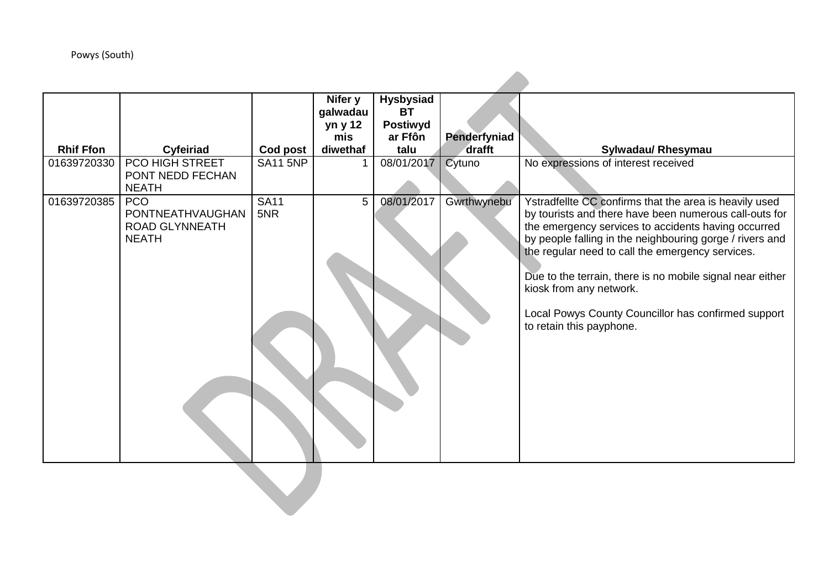## Powys (South)

|                  |                                                                         |                    | Nifer y<br>galwadau<br>yn y 12<br>mis | <b>Hysbysiad</b><br><b>BT</b><br><b>Postiwyd</b><br>ar Ffôn | Penderfyniad |                                                                                                                                                                                                                                                                                                                                                                                                                                                                    |  |  |  |  |
|------------------|-------------------------------------------------------------------------|--------------------|---------------------------------------|-------------------------------------------------------------|--------------|--------------------------------------------------------------------------------------------------------------------------------------------------------------------------------------------------------------------------------------------------------------------------------------------------------------------------------------------------------------------------------------------------------------------------------------------------------------------|--|--|--|--|
| <b>Rhif Ffon</b> | Cyfeiriad                                                               | Cod post           | diwethaf                              | talu                                                        | drafft       | Sylwadau/ Rhesymau                                                                                                                                                                                                                                                                                                                                                                                                                                                 |  |  |  |  |
| 01639720330      | PCO HIGH STREET<br>PONT NEDD FECHAN<br><b>NEATH</b>                     | <b>SA11 5NP</b>    |                                       | 08/01/2017                                                  | Cytuno       | No expressions of interest received                                                                                                                                                                                                                                                                                                                                                                                                                                |  |  |  |  |
| 01639720385      | <b>PCO</b><br>PONTNEATHVAUGHAN<br><b>ROAD GLYNNEATH</b><br><b>NEATH</b> | <b>SA11</b><br>5NR | 5 <sup>1</sup>                        | 08/01/2017                                                  | Gwrthwynebu  | Ystradfellte CC confirms that the area is heavily used<br>by tourists and there have been numerous call-outs for<br>the emergency services to accidents having occurred<br>by people falling in the neighbouring gorge / rivers and<br>the regular need to call the emergency services.<br>Due to the terrain, there is no mobile signal near either<br>kiosk from any network.<br>Local Powys County Councillor has confirmed support<br>to retain this payphone. |  |  |  |  |
|                  |                                                                         |                    |                                       |                                                             |              |                                                                                                                                                                                                                                                                                                                                                                                                                                                                    |  |  |  |  |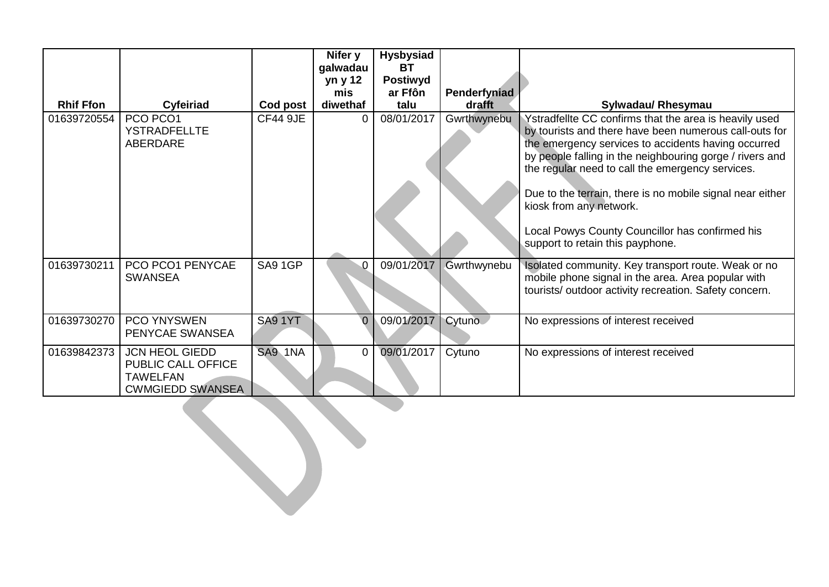|                  |                                                                                           |                 | Nifer y<br>galwadau<br>yn y 12<br>mis | <b>Hysbysiad</b><br><b>BT</b><br><b>Postiwyd</b><br>ar Ffôn | Penderfyniad |                                                                                                                                                                                                                                                                                         |
|------------------|-------------------------------------------------------------------------------------------|-----------------|---------------------------------------|-------------------------------------------------------------|--------------|-----------------------------------------------------------------------------------------------------------------------------------------------------------------------------------------------------------------------------------------------------------------------------------------|
| <b>Rhif Ffon</b> | Cyfeiriad                                                                                 | Cod post        | diwethaf                              | talu                                                        | drafft       | <b>Sylwadau/ Rhesymau</b>                                                                                                                                                                                                                                                               |
| 01639720554      | PCO PCO1<br>YSTRADFELLTE<br>ABERDARE                                                      | <b>CF44 9JE</b> | 0                                     | 08/01/2017                                                  | Gwrthwynebu  | Ystradfellte CC confirms that the area is heavily used<br>by tourists and there have been numerous call-outs for<br>the emergency services to accidents having occurred<br>by people falling in the neighbouring gorge / rivers and<br>the regular need to call the emergency services. |
|                  |                                                                                           |                 |                                       |                                                             |              | Due to the terrain, there is no mobile signal near either<br>kiosk from any network.                                                                                                                                                                                                    |
|                  |                                                                                           |                 |                                       |                                                             |              | Local Powys County Councillor has confirmed his<br>support to retain this payphone.                                                                                                                                                                                                     |
| 01639730211      | PCO PCO1 PENYCAE<br><b>SWANSEA</b>                                                        | SA9 1GP         | 0                                     | 09/01/2017                                                  | Gwrthwynebu  | Isolated community. Key transport route. Weak or no<br>mobile phone signal in the area. Area popular with<br>tourists/outdoor activity recreation. Safety concern.                                                                                                                      |
| 01639730270      | <b>PCO YNYSWEN</b><br>PENYCAE SWANSEA                                                     | SA91YT          | $\overline{0}$                        | 09/01/2017                                                  | Cytuno       | No expressions of interest received                                                                                                                                                                                                                                                     |
| 01639842373      | <b>JCN HEOL GIEDD</b><br>PUBLIC CALL OFFICE<br><b>TAWELFAN</b><br><b>CWMGIEDD SWANSEA</b> | SA9 1NA         | 0                                     | 09/01/2017                                                  | Cytuno       | No expressions of interest received                                                                                                                                                                                                                                                     |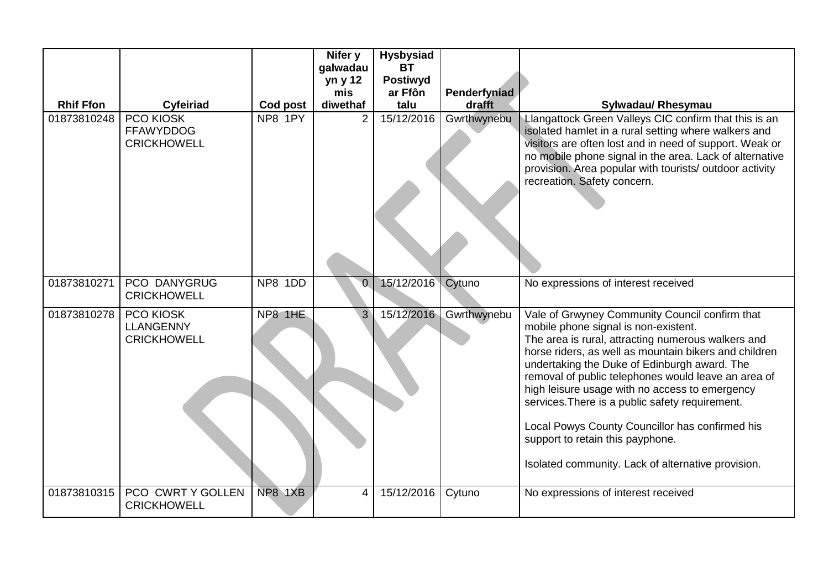|                  |                                                     |          | Nifer y<br>galwadau<br>yn y 12 | <b>Hysbysiad</b><br><b>BT</b><br><b>Postiwyd</b> |              |                                                                                                                                                                                                                                                                                                                                                                                                                                                                                                                                                                |
|------------------|-----------------------------------------------------|----------|--------------------------------|--------------------------------------------------|--------------|----------------------------------------------------------------------------------------------------------------------------------------------------------------------------------------------------------------------------------------------------------------------------------------------------------------------------------------------------------------------------------------------------------------------------------------------------------------------------------------------------------------------------------------------------------------|
|                  |                                                     |          | mis                            | ar Ffôn                                          | Penderfyniad |                                                                                                                                                                                                                                                                                                                                                                                                                                                                                                                                                                |
| <b>Rhif Ffon</b> | Cyfeiriad                                           | Cod post | diwethaf                       | talu                                             | drafft       | Sylwadau/ Rhesymau                                                                                                                                                                                                                                                                                                                                                                                                                                                                                                                                             |
| 01873810248      | PCO KIOSK<br><b>FFAWYDDOG</b><br><b>CRICKHOWELL</b> | NP8 1PY  | $\overline{2}$                 | 15/12/2016                                       | Gwrthwynebu  | Llangattock Green Valleys CIC confirm that this is an<br>isolated hamlet in a rural setting where walkers and<br>visitors are often lost and in need of support. Weak or<br>no mobile phone signal in the area. Lack of alternative<br>provision. Area popular with tourists/ outdoor activity<br>recreation. Safety concern.                                                                                                                                                                                                                                  |
| 01873810271      | <b>PCO DANYGRUG</b><br><b>CRICKHOWELL</b>           | NP8 1DD  | $\overline{0}$                 | 15/12/2016                                       | Cytuno       | No expressions of interest received                                                                                                                                                                                                                                                                                                                                                                                                                                                                                                                            |
| 01873810278      | PCO KIOSK<br><b>LLANGENNY</b><br><b>CRICKHOWELL</b> | NP8 1HE  | 3 <sup>°</sup>                 | 15/12/2016                                       | Gwrthwynebu  | Vale of Grwyney Community Council confirm that<br>mobile phone signal is non-existent.<br>The area is rural, attracting numerous walkers and<br>horse riders, as well as mountain bikers and children<br>undertaking the Duke of Edinburgh award. The<br>removal of public telephones would leave an area of<br>high leisure usage with no access to emergency<br>services. There is a public safety requirement.<br>Local Powys County Councillor has confirmed his<br>support to retain this payphone.<br>Isolated community. Lack of alternative provision. |
| 01873810315      | PCO CWRT Y GOLLEN<br><b>CRICKHOWELL</b>             | NP8 1XB  | 4                              | 15/12/2016                                       | Cytuno       | No expressions of interest received                                                                                                                                                                                                                                                                                                                                                                                                                                                                                                                            |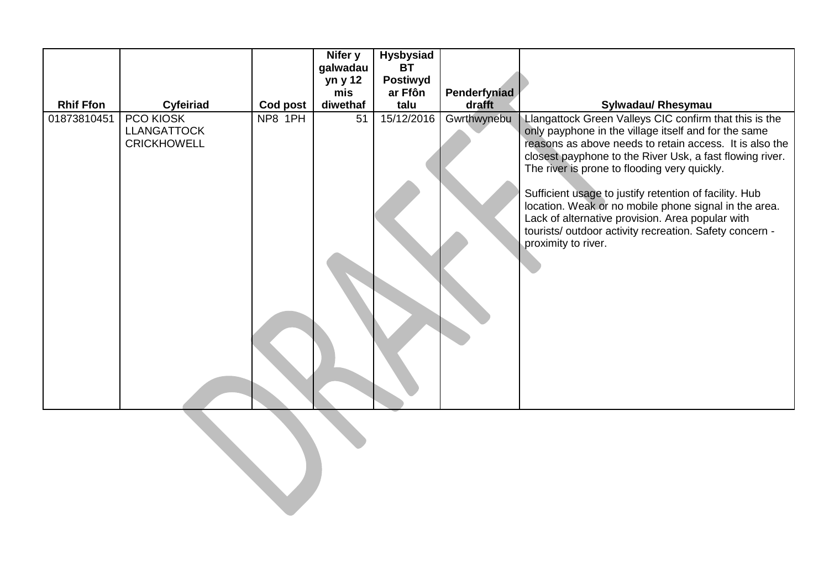|                  |                                                       |          | Nifer y  | <b>Hysbysiad</b> |              |                                                                                                                                                                                                                                                                                                                                                                                                                                                                                                                                                |  |  |
|------------------|-------------------------------------------------------|----------|----------|------------------|--------------|------------------------------------------------------------------------------------------------------------------------------------------------------------------------------------------------------------------------------------------------------------------------------------------------------------------------------------------------------------------------------------------------------------------------------------------------------------------------------------------------------------------------------------------------|--|--|
|                  |                                                       |          | galwadau | <b>BT</b>        |              |                                                                                                                                                                                                                                                                                                                                                                                                                                                                                                                                                |  |  |
|                  |                                                       |          | yn y 12  | Postiwyd         |              |                                                                                                                                                                                                                                                                                                                                                                                                                                                                                                                                                |  |  |
|                  |                                                       |          | mis      | ar Ffôn          | Penderfyniad |                                                                                                                                                                                                                                                                                                                                                                                                                                                                                                                                                |  |  |
| <b>Rhif Ffon</b> | Cyfeiriad                                             | Cod post | diwethaf | talu             | drafft       | Sylwadau/ Rhesymau                                                                                                                                                                                                                                                                                                                                                                                                                                                                                                                             |  |  |
| 01873810451      | PCO KIOSK<br><b>LLANGATTOCK</b><br><b>CRICKHOWELL</b> | NP8 1PH  | 51       | 15/12/2016       | Gwrthwynebu  | Llangattock Green Valleys CIC confirm that this is the<br>only payphone in the village itself and for the same<br>reasons as above needs to retain access. It is also the<br>closest payphone to the River Usk, a fast flowing river.<br>The river is prone to flooding very quickly.<br>Sufficient usage to justify retention of facility. Hub<br>location. Weak or no mobile phone signal in the area.<br>Lack of alternative provision. Area popular with<br>tourists/ outdoor activity recreation. Safety concern -<br>proximity to river. |  |  |
|                  |                                                       |          |          |                  |              |                                                                                                                                                                                                                                                                                                                                                                                                                                                                                                                                                |  |  |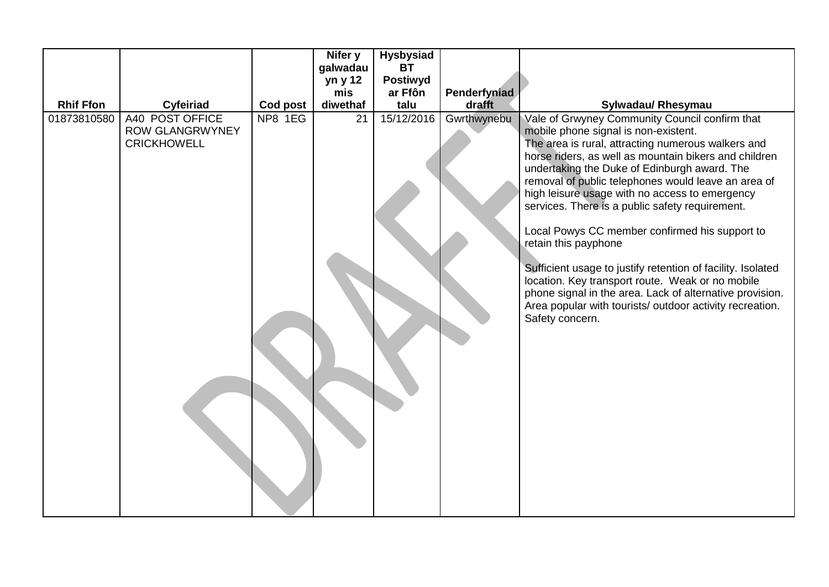|                  |                                                                 |          | Nifer y  | <b>Hysbysiad</b> |              |                                                                                                                                                                                                                                                                                                                                                                                                                                                                                                                                                                                                                                                                                                                                                           |
|------------------|-----------------------------------------------------------------|----------|----------|------------------|--------------|-----------------------------------------------------------------------------------------------------------------------------------------------------------------------------------------------------------------------------------------------------------------------------------------------------------------------------------------------------------------------------------------------------------------------------------------------------------------------------------------------------------------------------------------------------------------------------------------------------------------------------------------------------------------------------------------------------------------------------------------------------------|
|                  |                                                                 |          | galwadau | <b>BT</b>        |              |                                                                                                                                                                                                                                                                                                                                                                                                                                                                                                                                                                                                                                                                                                                                                           |
|                  |                                                                 |          | yn y 12  | <b>Postiwyd</b>  |              |                                                                                                                                                                                                                                                                                                                                                                                                                                                                                                                                                                                                                                                                                                                                                           |
|                  |                                                                 |          | mis      | ar Ffôn          | Penderfyniad |                                                                                                                                                                                                                                                                                                                                                                                                                                                                                                                                                                                                                                                                                                                                                           |
| <b>Rhif Ffon</b> | <b>Cyfeiriad</b>                                                | Cod post | diwethaf | talu             | drafft       | Sylwadau/ Rhesymau                                                                                                                                                                                                                                                                                                                                                                                                                                                                                                                                                                                                                                                                                                                                        |
| 01873810580      | A40 POST OFFICE<br><b>ROW GLANGRWYNEY</b><br><b>CRICKHOWELL</b> | NP8 1EG  | 21       | 15/12/2016       | Gwrthwynebu  | Vale of Grwyney Community Council confirm that<br>mobile phone signal is non-existent.<br>The area is rural, attracting numerous walkers and<br>horse riders, as well as mountain bikers and children<br>undertaking the Duke of Edinburgh award. The<br>removal of public telephones would leave an area of<br>high leisure usage with no access to emergency<br>services. There is a public safety requirement.<br>Local Powys CC member confirmed his support to<br>retain this payphone<br>Sufficient usage to justify retention of facility. Isolated<br>location. Key transport route. Weak or no mobile<br>phone signal in the area. Lack of alternative provision.<br>Area popular with tourists/ outdoor activity recreation.<br>Safety concern. |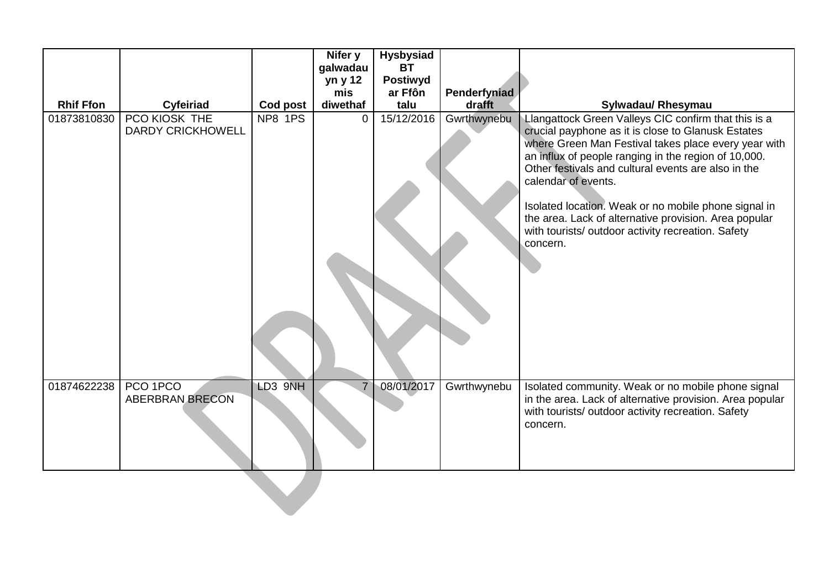|                  |                                    |          | Nifer y        | <b>Hysbysiad</b> |              |                                                                                                                                                                                                                                                                                                                                                                                                                                                                                             |
|------------------|------------------------------------|----------|----------------|------------------|--------------|---------------------------------------------------------------------------------------------------------------------------------------------------------------------------------------------------------------------------------------------------------------------------------------------------------------------------------------------------------------------------------------------------------------------------------------------------------------------------------------------|
|                  |                                    |          | galwadau       | <b>BT</b>        |              |                                                                                                                                                                                                                                                                                                                                                                                                                                                                                             |
|                  |                                    |          | yn y 12        | <b>Postiwyd</b>  |              |                                                                                                                                                                                                                                                                                                                                                                                                                                                                                             |
|                  |                                    |          | mis            | ar Ffôn          | Penderfyniad |                                                                                                                                                                                                                                                                                                                                                                                                                                                                                             |
| <b>Rhif Ffon</b> | Cyfeiriad                          | Cod post | diwethaf       | talu             | drafft       | Sylwadau/ Rhesymau                                                                                                                                                                                                                                                                                                                                                                                                                                                                          |
| 01873810830      | PCO KIOSK THE<br>DARDY CRICKHOWELL | NP8 1PS  | 0              | 15/12/2016       | Gwrthwynebu  | Llangattock Green Valleys CIC confirm that this is a<br>crucial payphone as it is close to Glanusk Estates<br>where Green Man Festival takes place every year with<br>an influx of people ranging in the region of 10,000.<br>Other festivals and cultural events are also in the<br>calendar of events.<br>Isolated location. Weak or no mobile phone signal in<br>the area. Lack of alternative provision. Area popular<br>with tourists/ outdoor activity recreation. Safety<br>concern. |
| 01874622238      | PCO 1PCO<br><b>ABERBRAN BRECON</b> | LD3 9NH  | $\overline{7}$ | 08/01/2017       | Gwrthwynebu  | Isolated community. Weak or no mobile phone signal<br>in the area. Lack of alternative provision. Area popular<br>with tourists/ outdoor activity recreation. Safety<br>concern.                                                                                                                                                                                                                                                                                                            |
|                  |                                    |          |                |                  |              |                                                                                                                                                                                                                                                                                                                                                                                                                                                                                             |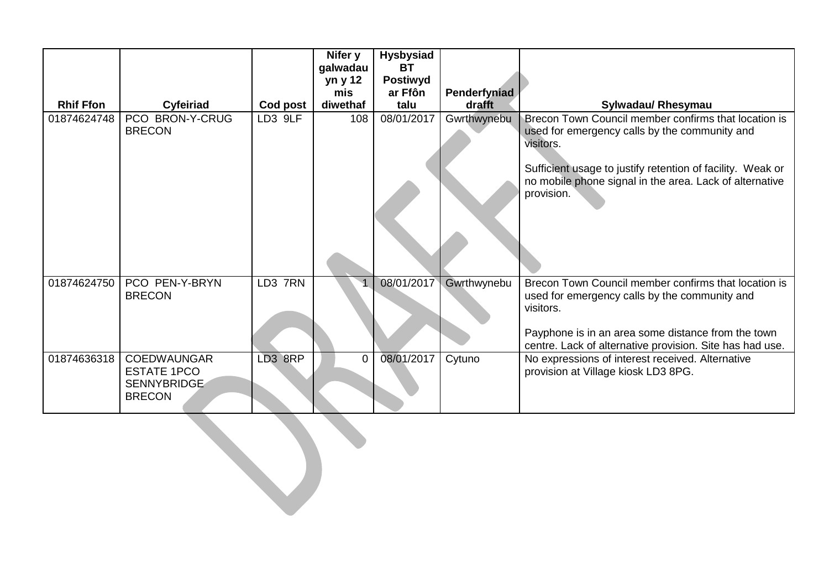|                  |                                                                                 |          | Nifer y<br>galwadau<br>yn y 12<br>mis | <b>Hysbysiad</b><br><b>BT</b><br><b>Postiwyd</b><br>ar Ffôn | Penderfyniad |                                                                                                                                                                                                                                                           |  |  |
|------------------|---------------------------------------------------------------------------------|----------|---------------------------------------|-------------------------------------------------------------|--------------|-----------------------------------------------------------------------------------------------------------------------------------------------------------------------------------------------------------------------------------------------------------|--|--|
| <b>Rhif Ffon</b> | Cyfeiriad                                                                       | Cod post | diwethaf                              | talu                                                        | drafft       | Sylwadau/ Rhesymau                                                                                                                                                                                                                                        |  |  |
| 01874624748      | PCO BRON-Y-CRUG<br><b>BRECON</b>                                                | LD3 9LF  | 108                                   | 08/01/2017                                                  | Gwrthwynebu  | Brecon Town Council member confirms that location is<br>used for emergency calls by the community and<br>visitors.<br>Sufficient usage to justify retention of facility. Weak or<br>no mobile phone signal in the area. Lack of alternative<br>provision. |  |  |
| 01874624750      | PCO PEN-Y-BRYN<br><b>BRECON</b>                                                 | LD3 7RN  |                                       | 08/01/2017                                                  | Gwrthwynebu  | Brecon Town Council member confirms that location is<br>used for emergency calls by the community and<br>visitors.<br>Payphone is in an area some distance from the town<br>centre. Lack of alternative provision. Site has had use.                      |  |  |
| 01874636318      | <b>COEDWAUNGAR</b><br><b>ESTATE 1PCO</b><br><b>SENNYBRIDGE</b><br><b>BRECON</b> | LD3 8RP  | $\overline{0}$                        | 08/01/2017                                                  | Cytuno       | No expressions of interest received. Alternative<br>provision at Village kiosk LD3 8PG.                                                                                                                                                                   |  |  |
|                  |                                                                                 |          |                                       |                                                             |              |                                                                                                                                                                                                                                                           |  |  |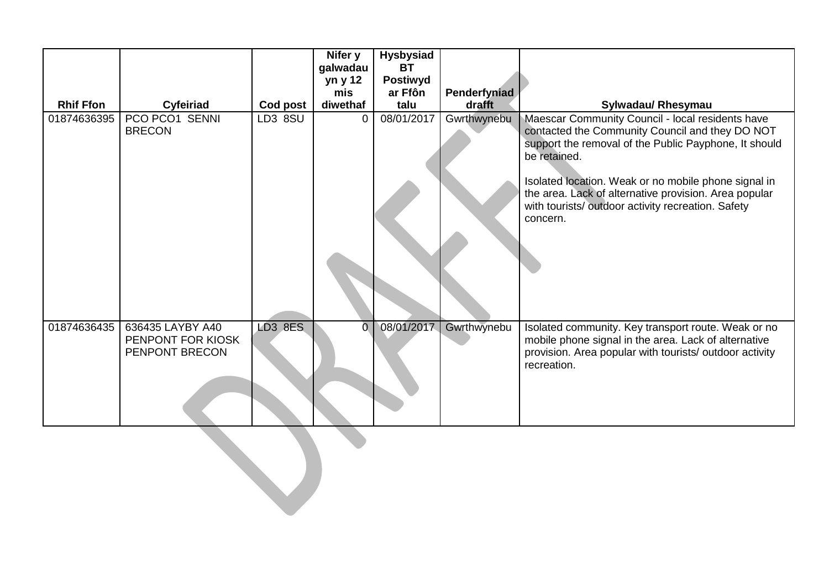|                  |                                                         |          | Nifer y<br>galwadau<br>yn y 12<br>mis | <b>Hysbysiad</b><br><b>BT</b><br><b>Postiwyd</b><br>ar Ffôn | Penderfyniad |                                                                                                                                                                                                                                                                                                                                                                |  |  |
|------------------|---------------------------------------------------------|----------|---------------------------------------|-------------------------------------------------------------|--------------|----------------------------------------------------------------------------------------------------------------------------------------------------------------------------------------------------------------------------------------------------------------------------------------------------------------------------------------------------------------|--|--|
| <b>Rhif Ffon</b> | Cyfeiriad                                               | Cod post | diwethaf                              | talu                                                        | drafft       | Sylwadau/ Rhesymau                                                                                                                                                                                                                                                                                                                                             |  |  |
| 01874636395      | PCO PCO1 SENNI<br><b>BRECON</b>                         | LD3 8SU  | $\Omega$                              | 08/01/2017                                                  | Gwrthwynebu  | Maescar Community Council - local residents have<br>contacted the Community Council and they DO NOT<br>support the removal of the Public Payphone, It should<br>be retained.<br>Isolated location. Weak or no mobile phone signal in<br>the area. Lack of alternative provision. Area popular<br>with tourists/outdoor activity recreation. Safety<br>concern. |  |  |
| 01874636435      | 636435 LAYBY A40<br>PENPONT FOR KIOSK<br>PENPONT BRECON | LD3 8ES  | $\overline{0}$                        | 08/01/2017                                                  | Gwrthwynebu  | Isolated community. Key transport route. Weak or no<br>mobile phone signal in the area. Lack of alternative<br>provision. Area popular with tourists/ outdoor activity<br>recreation.                                                                                                                                                                          |  |  |
|                  |                                                         |          |                                       |                                                             |              |                                                                                                                                                                                                                                                                                                                                                                |  |  |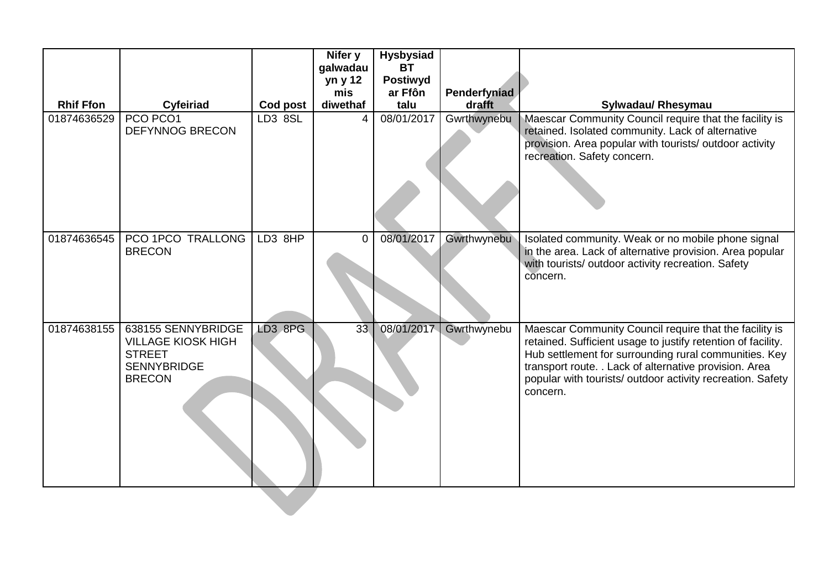|                  |                                                                                                         |          | Nifer y<br>galwadau<br>yn y 12<br>mis | <b>Hysbysiad</b><br><b>BT</b><br><b>Postiwyd</b><br>ar Ffôn | Penderfyniad |                                                                                                                                                                                                                                                                                                                     |
|------------------|---------------------------------------------------------------------------------------------------------|----------|---------------------------------------|-------------------------------------------------------------|--------------|---------------------------------------------------------------------------------------------------------------------------------------------------------------------------------------------------------------------------------------------------------------------------------------------------------------------|
| <b>Rhif Ffon</b> | Cyfeiriad                                                                                               | Cod post | diwethaf                              | talu                                                        | drafft       | Sylwadau/ Rhesymau                                                                                                                                                                                                                                                                                                  |
| 01874636529      | PCO PCO1<br><b>DEFYNNOG BRECON</b>                                                                      | LD3 8SL  | 4                                     | 08/01/2017                                                  | Gwrthwynebu  | Maescar Community Council require that the facility is<br>retained. Isolated community. Lack of alternative<br>provision. Area popular with tourists/ outdoor activity<br>recreation. Safety concern.                                                                                                               |
| 01874636545      | PCO 1PCO TRALLONG<br><b>BRECON</b>                                                                      | LD3 8HP  | $\overline{0}$                        | 08/01/2017                                                  | Gwrthwynebu  | Isolated community. Weak or no mobile phone signal<br>in the area. Lack of alternative provision. Area popular<br>with tourists/ outdoor activity recreation. Safety<br>concern.                                                                                                                                    |
| 01874638155      | 638155 SENNYBRIDGE<br><b>VILLAGE KIOSK HIGH</b><br><b>STREET</b><br><b>SENNYBRIDGE</b><br><b>BRECON</b> | LD3 8PG  | 33 <sup>°</sup>                       | 08/01/2017                                                  | Gwrthwynebu  | Maescar Community Council require that the facility is<br>retained. Sufficient usage to justify retention of facility.<br>Hub settlement for surrounding rural communities. Key<br>transport route. . Lack of alternative provision. Area<br>popular with tourists/ outdoor activity recreation. Safety<br>concern. |
|                  |                                                                                                         |          |                                       |                                                             |              |                                                                                                                                                                                                                                                                                                                     |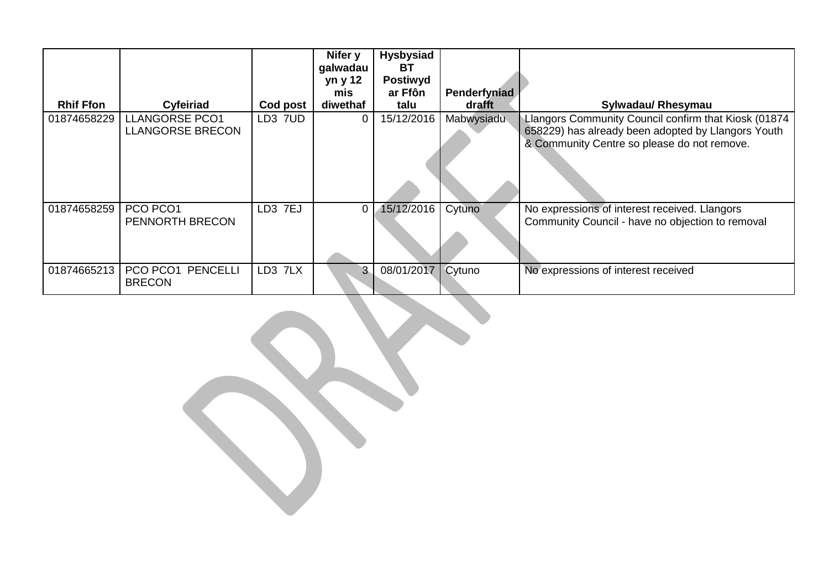|                  |                                                  |                     | Nifer y<br>galwadau<br>yn y 12 | <b>Hysbysiad</b><br>BT<br><b>Postiwyd</b> |                        |                                                                                                                                                           |
|------------------|--------------------------------------------------|---------------------|--------------------------------|-------------------------------------------|------------------------|-----------------------------------------------------------------------------------------------------------------------------------------------------------|
| <b>Rhif Ffon</b> | Cyfeiriad                                        | Cod post            | mis<br>diwethaf                | ar Ffôn<br>talu                           | Penderfyniad<br>drafft | <b>Sylwadau/ Rhesymau</b>                                                                                                                                 |
| 01874658229      | <b>LLANGORSE PCO1</b><br><b>LLANGORSE BRECON</b> | LD3 7UD             | 0                              | 15/12/2016                                | Mabwysiadu             | Llangors Community Council confirm that Kiosk (01874<br>658229) has already been adopted by Llangors Youth<br>& Community Centre so please do not remove. |
| 01874658259      | PCO PCO1<br>PENNORTH BRECON                      | LD3 7EJ             | 0                              | 15/12/2016                                | Cytuno                 | No expressions of interest received. Llangors<br>Community Council - have no objection to removal                                                         |
| 01874665213      | PCO PCO1<br><b>PENCELLI</b><br><b>BRECON</b>     | LD <sub>3</sub> 7LX | 3                              | 08/01/2017   Cytuno                       |                        | No expressions of interest received                                                                                                                       |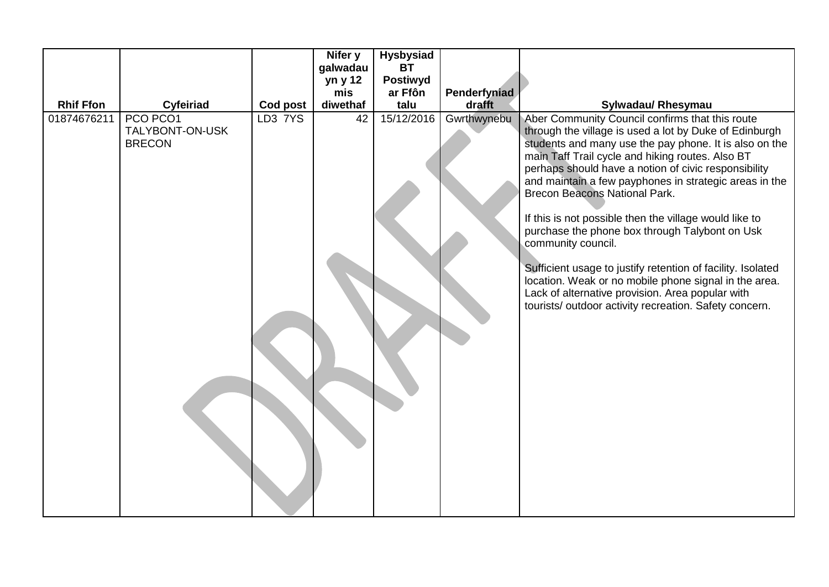|                  |                                              |          | Nifer y  | <b>Hysbysiad</b> |              |                                                                                                                                                                                                                                                                                                                                                                                                                                                                                                                                                                                                                                                                                                                                                          |
|------------------|----------------------------------------------|----------|----------|------------------|--------------|----------------------------------------------------------------------------------------------------------------------------------------------------------------------------------------------------------------------------------------------------------------------------------------------------------------------------------------------------------------------------------------------------------------------------------------------------------------------------------------------------------------------------------------------------------------------------------------------------------------------------------------------------------------------------------------------------------------------------------------------------------|
|                  |                                              |          | galwadau | <b>BT</b>        |              |                                                                                                                                                                                                                                                                                                                                                                                                                                                                                                                                                                                                                                                                                                                                                          |
|                  |                                              |          | yn y 12  | <b>Postiwyd</b>  |              |                                                                                                                                                                                                                                                                                                                                                                                                                                                                                                                                                                                                                                                                                                                                                          |
|                  |                                              |          | mis      | ar Ffôn          | Penderfyniad |                                                                                                                                                                                                                                                                                                                                                                                                                                                                                                                                                                                                                                                                                                                                                          |
| <b>Rhif Ffon</b> | Cyfeiriad                                    | Cod post | diwethaf | talu             | drafft       | Sylwadau/ Rhesymau                                                                                                                                                                                                                                                                                                                                                                                                                                                                                                                                                                                                                                                                                                                                       |
| 01874676211      | PCO PCO1<br>TALYBONT-ON-USK<br><b>BRECON</b> | LD3 7YS  | 42       | 15/12/2016       | Gwrthwynebu  | Aber Community Council confirms that this route<br>through the village is used a lot by Duke of Edinburgh<br>students and many use the pay phone. It is also on the<br>main Taff Trail cycle and hiking routes. Also BT<br>perhaps should have a notion of civic responsibility<br>and maintain a few payphones in strategic areas in the<br><b>Brecon Beacons National Park.</b><br>If this is not possible then the village would like to<br>purchase the phone box through Talybont on Usk<br>community council.<br>Sufficient usage to justify retention of facility. Isolated<br>location. Weak or no mobile phone signal in the area.<br>Lack of alternative provision. Area popular with<br>tourists/outdoor activity recreation. Safety concern. |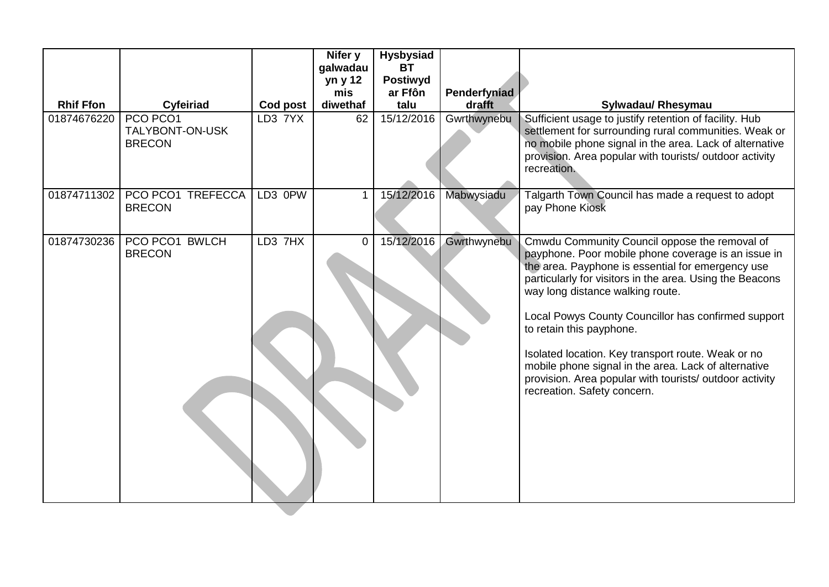|                  |                                              |          | Nifer y<br>galwadau<br>yn y 12<br>mis | <b>Hysbysiad</b><br><b>BT</b><br><b>Postiwyd</b><br>ar Ffôn | Penderfyniad |                                                                                                                                                                                                                                                                                                                                                                                                                                                                                                                                                      |
|------------------|----------------------------------------------|----------|---------------------------------------|-------------------------------------------------------------|--------------|------------------------------------------------------------------------------------------------------------------------------------------------------------------------------------------------------------------------------------------------------------------------------------------------------------------------------------------------------------------------------------------------------------------------------------------------------------------------------------------------------------------------------------------------------|
| <b>Rhif Ffon</b> | Cyfeiriad                                    | Cod post | diwethaf                              | talu                                                        | drafft       | Sylwadau/ Rhesymau                                                                                                                                                                                                                                                                                                                                                                                                                                                                                                                                   |
| 01874676220      | PCO PCO1<br>TALYBONT-ON-USK<br><b>BRECON</b> | LD3 7YX  | 62                                    | 15/12/2016                                                  | Gwrthwynebu  | Sufficient usage to justify retention of facility. Hub<br>settlement for surrounding rural communities. Weak or<br>no mobile phone signal in the area. Lack of alternative<br>provision. Area popular with tourists/ outdoor activity<br>recreation.                                                                                                                                                                                                                                                                                                 |
| 01874711302      | PCO PCO1 TREFECCA<br><b>BRECON</b>           | LD3 0PW  | $\mathbf 1$                           | 15/12/2016                                                  | Mabwysiadu   | Talgarth Town Council has made a request to adopt<br>pay Phone Kiosk                                                                                                                                                                                                                                                                                                                                                                                                                                                                                 |
| 01874730236      | PCO PCO1 BWLCH<br><b>BRECON</b>              | LD3 7HX  | 0                                     | 15/12/2016                                                  | Gwrthwynebu  | Cmwdu Community Council oppose the removal of<br>payphone. Poor mobile phone coverage is an issue in<br>the area. Payphone is essential for emergency use<br>particularly for visitors in the area. Using the Beacons<br>way long distance walking route.<br>Local Powys County Councillor has confirmed support<br>to retain this payphone.<br>Isolated location. Key transport route. Weak or no<br>mobile phone signal in the area. Lack of alternative<br>provision. Area popular with tourists/ outdoor activity<br>recreation. Safety concern. |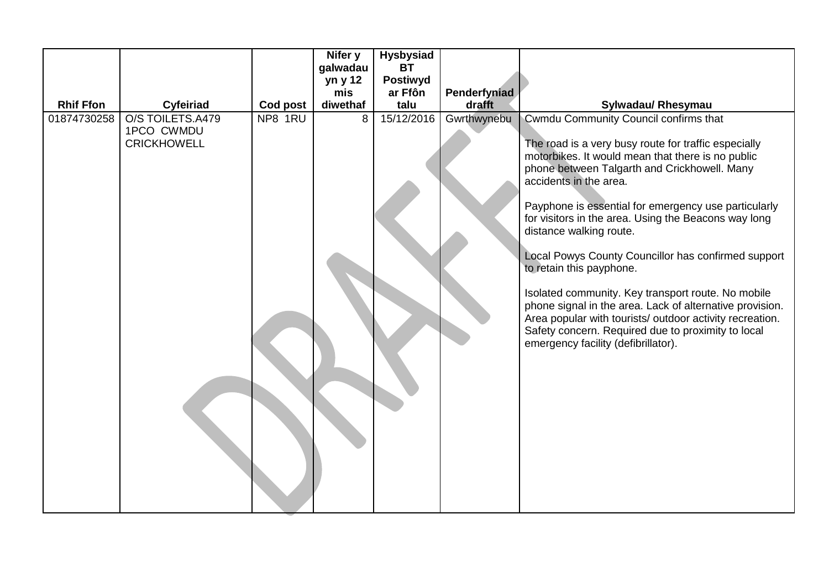|                  |                                                      |          | Nifer y  | <b>Hysbysiad</b> |              |                                                                                                                                                                                                                                                                                                                                                                                                                                                                                                                                                                                                                                                                                                                                       |
|------------------|------------------------------------------------------|----------|----------|------------------|--------------|---------------------------------------------------------------------------------------------------------------------------------------------------------------------------------------------------------------------------------------------------------------------------------------------------------------------------------------------------------------------------------------------------------------------------------------------------------------------------------------------------------------------------------------------------------------------------------------------------------------------------------------------------------------------------------------------------------------------------------------|
|                  |                                                      |          | galwadau | <b>BT</b>        |              |                                                                                                                                                                                                                                                                                                                                                                                                                                                                                                                                                                                                                                                                                                                                       |
|                  |                                                      |          | yn y 12  | <b>Postiwyd</b>  |              |                                                                                                                                                                                                                                                                                                                                                                                                                                                                                                                                                                                                                                                                                                                                       |
|                  |                                                      |          | mis      | ar Ffôn          | Penderfyniad |                                                                                                                                                                                                                                                                                                                                                                                                                                                                                                                                                                                                                                                                                                                                       |
| <b>Rhif Ffon</b> | Cyfeiriad                                            | Cod post | diwethaf | talu             | drafft       | Sylwadau/ Rhesymau                                                                                                                                                                                                                                                                                                                                                                                                                                                                                                                                                                                                                                                                                                                    |
| 01874730258      | O/S TOILETS.A479<br>1PCO CWMDU<br><b>CRICKHOWELL</b> | NP8 1RU  | 8        | 15/12/2016       | Gwrthwynebu  | Cwmdu Community Council confirms that<br>The road is a very busy route for traffic especially<br>motorbikes. It would mean that there is no public<br>phone between Talgarth and Crickhowell. Many<br>accidents in the area.<br>Payphone is essential for emergency use particularly<br>for visitors in the area. Using the Beacons way long<br>distance walking route.<br>Local Powys County Councillor has confirmed support<br>to retain this payphone.<br>Isolated community. Key transport route. No mobile<br>phone signal in the area. Lack of alternative provision.<br>Area popular with tourists/ outdoor activity recreation.<br>Safety concern. Required due to proximity to local<br>emergency facility (defibrillator). |
|                  |                                                      |          |          |                  |              |                                                                                                                                                                                                                                                                                                                                                                                                                                                                                                                                                                                                                                                                                                                                       |
|                  |                                                      |          |          |                  |              |                                                                                                                                                                                                                                                                                                                                                                                                                                                                                                                                                                                                                                                                                                                                       |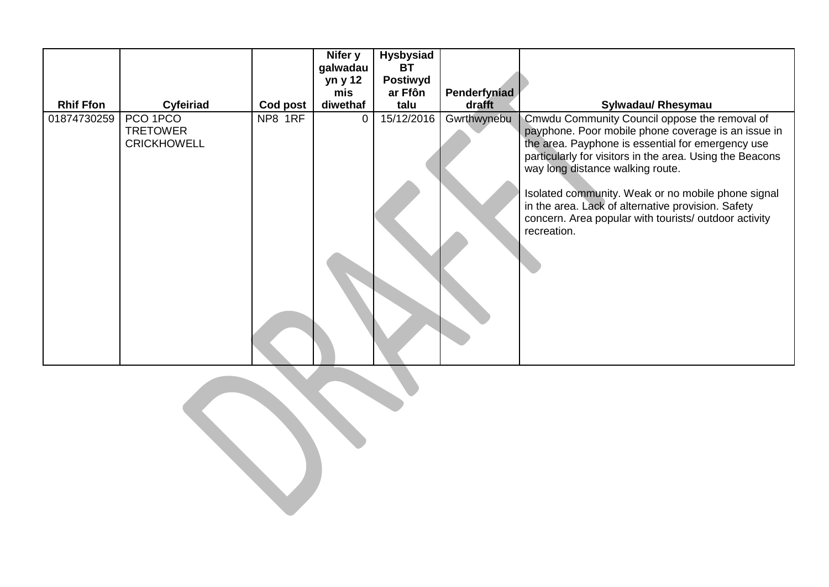| <b>Rhif Ffon</b> | Cyfeiriad                                         | Cod post | Nifer y<br>galwadau<br>yn y 12<br>mis<br>diwethaf | <b>Hysbysiad</b><br>ВT<br><b>Postiwyd</b><br>ar Ffôn<br>talu | <b>Penderfyniad</b><br>drafft | Sylwadau/ Rhesymau                                                                                                                                                                                                                                                                                                                                                                                                                            |
|------------------|---------------------------------------------------|----------|---------------------------------------------------|--------------------------------------------------------------|-------------------------------|-----------------------------------------------------------------------------------------------------------------------------------------------------------------------------------------------------------------------------------------------------------------------------------------------------------------------------------------------------------------------------------------------------------------------------------------------|
| 01874730259      | PCO 1PCO<br><b>TRETOWER</b><br><b>CRICKHOWELL</b> | NP8 1RF  | 0                                                 | 15/12/2016                                                   | Gwrthwynebu                   | Cmwdu Community Council oppose the removal of<br>payphone. Poor mobile phone coverage is an issue in<br>the area. Payphone is essential for emergency use<br>particularly for visitors in the area. Using the Beacons<br>way long distance walking route.<br>Isolated community. Weak or no mobile phone signal<br>in the area. Lack of alternative provision. Safety<br>concern. Area popular with tourists/ outdoor activity<br>recreation. |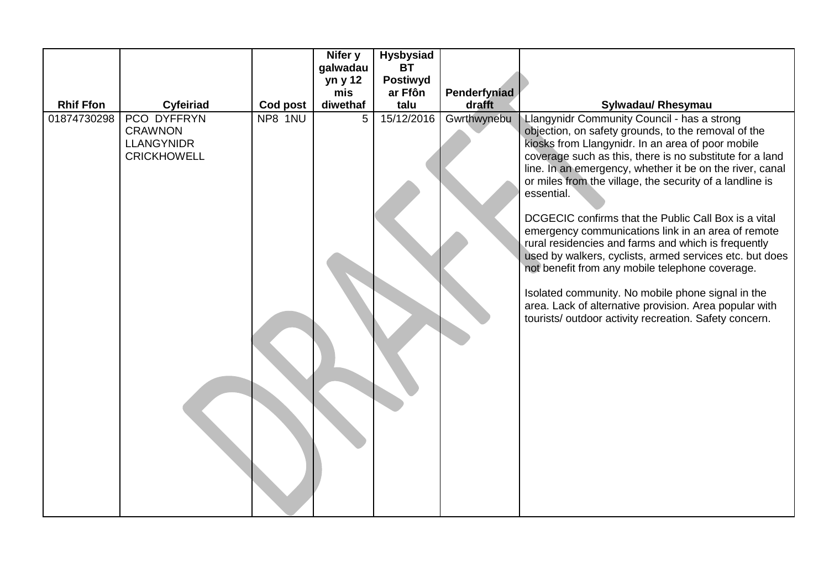|                  |                                                                          |          | Nifer y        | <b>Hysbysiad</b> |              |                                                                                                                                                                                                                                                                                                                                                                                                                                                                                                                                                                                                                                                                                                                                                                                                                      |
|------------------|--------------------------------------------------------------------------|----------|----------------|------------------|--------------|----------------------------------------------------------------------------------------------------------------------------------------------------------------------------------------------------------------------------------------------------------------------------------------------------------------------------------------------------------------------------------------------------------------------------------------------------------------------------------------------------------------------------------------------------------------------------------------------------------------------------------------------------------------------------------------------------------------------------------------------------------------------------------------------------------------------|
|                  |                                                                          |          | galwadau       | <b>BT</b>        |              |                                                                                                                                                                                                                                                                                                                                                                                                                                                                                                                                                                                                                                                                                                                                                                                                                      |
|                  |                                                                          |          | yn y 12        | <b>Postiwyd</b>  |              |                                                                                                                                                                                                                                                                                                                                                                                                                                                                                                                                                                                                                                                                                                                                                                                                                      |
|                  |                                                                          |          | mis            | ar Ffôn          | Penderfyniad |                                                                                                                                                                                                                                                                                                                                                                                                                                                                                                                                                                                                                                                                                                                                                                                                                      |
| <b>Rhif Ffon</b> | Cyfeiriad                                                                | Cod post | diwethaf       | talu             | drafft       | Sylwadau/ Rhesymau                                                                                                                                                                                                                                                                                                                                                                                                                                                                                                                                                                                                                                                                                                                                                                                                   |
| 01874730298      | PCO DYFFRYN<br><b>CRAWNON</b><br><b>LLANGYNIDR</b><br><b>CRICKHOWELL</b> | NP8 1NU  | 5 <sup>5</sup> | 15/12/2016       | Gwrthwynebu  | Llangynidr Community Council - has a strong<br>objection, on safety grounds, to the removal of the<br>kiosks from Llangynidr. In an area of poor mobile<br>coverage such as this, there is no substitute for a land<br>line. In an emergency, whether it be on the river, canal<br>or miles from the village, the security of a landline is<br>essential.<br>DCGECIC confirms that the Public Call Box is a vital<br>emergency communications link in an area of remote<br>rural residencies and farms and which is frequently<br>used by walkers, cyclists, armed services etc. but does<br>not benefit from any mobile telephone coverage.<br>Isolated community. No mobile phone signal in the<br>area. Lack of alternative provision. Area popular with<br>tourists/outdoor activity recreation. Safety concern. |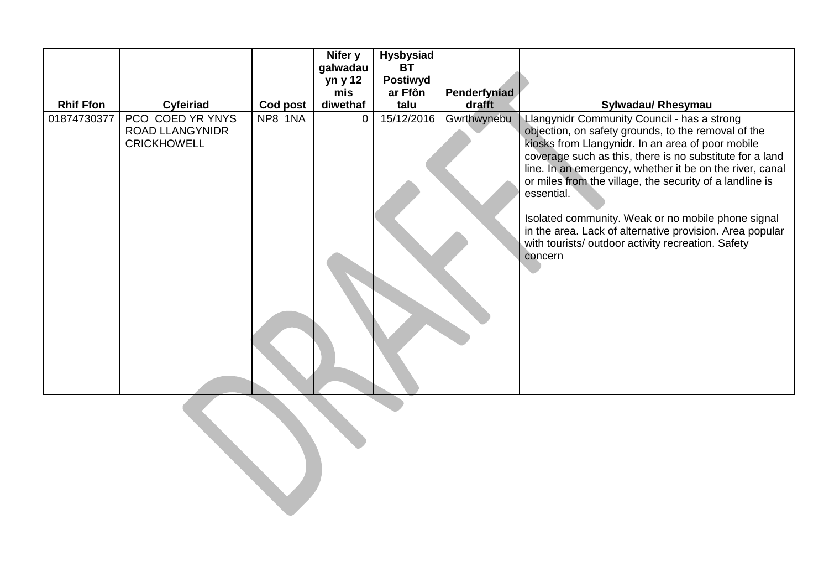| <b>Rhif Ffon</b><br>Cyfeiriad<br>PCO COED YR YNYS<br>01874730377<br><b>ROAD LLANGYNIDR</b><br><b>CRICKHOWELL</b> |          | Nifer y<br>galwadau | <b>Hysbysiad</b><br><b>BT</b> |              |                                                                                                                                                                                                                                                                                                                                                                                                                                                                                                                                              |
|------------------------------------------------------------------------------------------------------------------|----------|---------------------|-------------------------------|--------------|----------------------------------------------------------------------------------------------------------------------------------------------------------------------------------------------------------------------------------------------------------------------------------------------------------------------------------------------------------------------------------------------------------------------------------------------------------------------------------------------------------------------------------------------|
|                                                                                                                  |          | yn y 12             | <b>Postiwyd</b>               |              |                                                                                                                                                                                                                                                                                                                                                                                                                                                                                                                                              |
|                                                                                                                  |          | mis                 | ar Ffôn                       | Penderfyniad |                                                                                                                                                                                                                                                                                                                                                                                                                                                                                                                                              |
|                                                                                                                  | Cod post | diwethaf            | talu                          | drafft       | Sylwadau/ Rhesymau                                                                                                                                                                                                                                                                                                                                                                                                                                                                                                                           |
|                                                                                                                  | NP8 1NA  | 0                   | 15/12/2016                    | Gwrthwynebu  | Llangynidr Community Council - has a strong<br>objection, on safety grounds, to the removal of the<br>kiosks from Llangynidr. In an area of poor mobile<br>coverage such as this, there is no substitute for a land<br>line. In an emergency, whether it be on the river, canal<br>or miles from the village, the security of a landline is<br>essential.<br>Isolated community. Weak or no mobile phone signal<br>in the area. Lack of alternative provision. Area popular<br>with tourists/ outdoor activity recreation. Safety<br>concern |